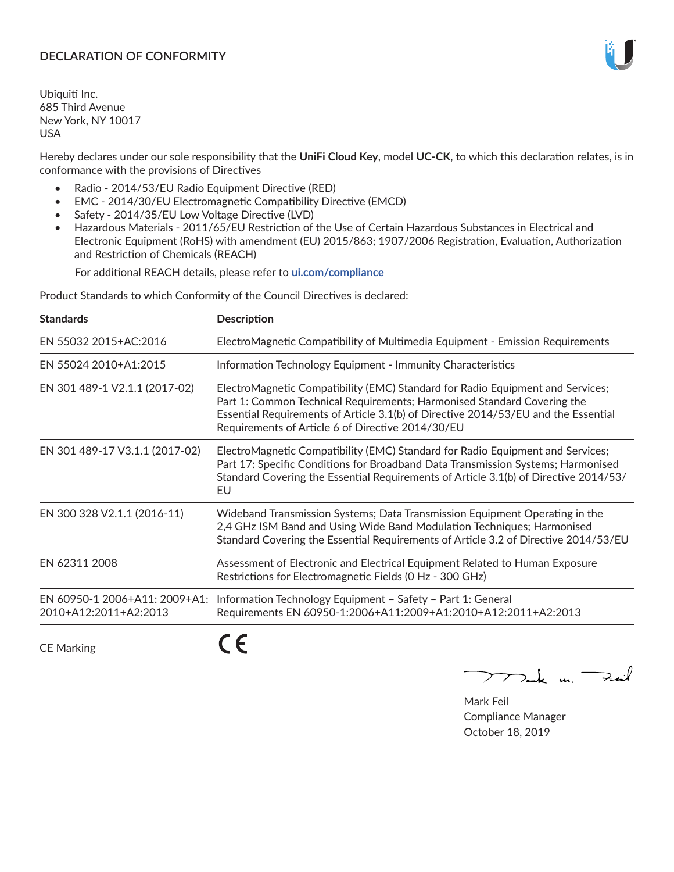## **DECLARATION OF CONFORMITY**

Ubiquiti Inc. 685 Third Avenue New York, NY 10017 USA

Hereby declares under our sole responsibility that the **UniFi Cloud Key**, model **UC-CK**, to which this declaration relates, is in conformance with the provisions of Directives

- Radio 2014/53/EU Radio Equipment Directive (RED)
- EMC 2014/30/EU Electromagnetic Compatibility Directive (EMCD)
- Safety 2014/35/EU Low Voltage Directive (LVD)
- Hazardous Materials 2011/65/EU Restriction of the Use of Certain Hazardous Substances in Electrical and Electronic Equipment (RoHS) with amendment (EU) 2015/863; 1907/2006 Registration, Evaluation, Authorization and Restriction of Chemicals (REACH)

For additional REACH details, please refer to **[ui.com/compliance](https://dl.ui.com/compliance/REACH_Compliance_Declaration.pdf)**

Product Standards to which Conformity of the Council Directives is declared:

| <b>Standards</b>                                       | <b>Description</b>                                                                                                                                                                                                                                                                                   |
|--------------------------------------------------------|------------------------------------------------------------------------------------------------------------------------------------------------------------------------------------------------------------------------------------------------------------------------------------------------------|
| EN 55032 2015+AC:2016                                  | ElectroMagnetic Compatibility of Multimedia Equipment - Emission Requirements                                                                                                                                                                                                                        |
| EN 55024 2010+A1:2015                                  | Information Technology Equipment - Immunity Characteristics                                                                                                                                                                                                                                          |
| EN 301 489-1 V2.1.1 (2017-02)                          | ElectroMagnetic Compatibility (EMC) Standard for Radio Equipment and Services;<br>Part 1: Common Technical Requirements; Harmonised Standard Covering the<br>Essential Requirements of Article 3.1(b) of Directive 2014/53/EU and the Essential<br>Requirements of Article 6 of Directive 2014/30/EU |
| EN 301 489-17 V3.1.1 (2017-02)                         | ElectroMagnetic Compatibility (EMC) Standard for Radio Equipment and Services;<br>Part 17: Specific Conditions for Broadband Data Transmission Systems; Harmonised<br>Standard Covering the Essential Requirements of Article 3.1(b) of Directive 2014/53/<br>EU                                     |
| EN 300 328 V2.1.1 (2016-11)                            | Wideband Transmission Systems; Data Transmission Equipment Operating in the<br>2,4 GHz ISM Band and Using Wide Band Modulation Techniques; Harmonised<br>Standard Covering the Essential Requirements of Article 3.2 of Directive 2014/53/EU                                                         |
| EN 62311 2008                                          | Assessment of Electronic and Electrical Equipment Related to Human Exposure<br>Restrictions for Electromagnetic Fields (0 Hz - 300 GHz)                                                                                                                                                              |
| EN 60950-1 2006+A11: 2009+A1:<br>2010+A12:2011+A2:2013 | Information Technology Equipment - Safety - Part 1: General<br>Requirements EN 60950-1:2006+A11:2009+A1:2010+A12:2011+A2:2013                                                                                                                                                                        |
|                                                        |                                                                                                                                                                                                                                                                                                      |

CE Marking

CE

 $\nabla$ ak m $\rightarrow$ ail  $\mathop{\sum\mathrm{ }}$ 

Mark Feil Compliance Manager October 18, 2019

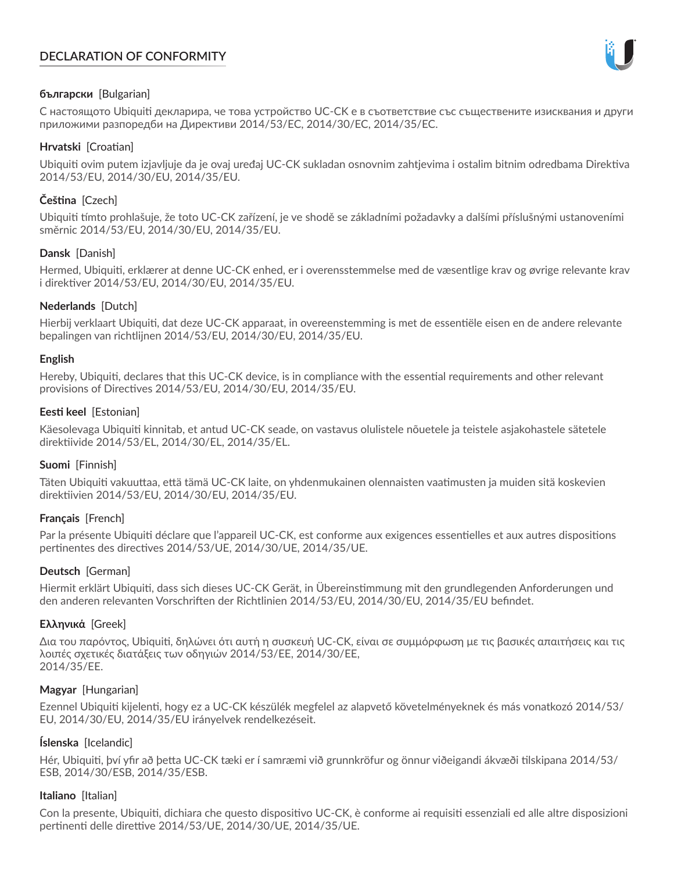# **DECLARATION OF CONFORMITY**



## **български** [Bulgarian]

С настоящото Ubiquiti декларира, че това устройство UC-CK е в съответствие със съществените изисквания и други приложими разпоредби на Директиви 2014/53/EC, 2014/30/ЕС, 2014/35/ЕС.

## **Hrvatski** [Croatian]

Ubiquiti ovim putem izjavljuje da je ovaj uređaj UC-CK sukladan osnovnim zahtjevima i ostalim bitnim odredbama Direktiva 2014/53/EU, 2014/30/EU, 2014/35/EU.

# **Čeština** [Czech]

Ubiquiti tímto prohlašuje, že toto UC-CK zařízení, je ve shodě se základními požadavky a dalšími příslušnými ustanoveními směrnic 2014/53/EU, 2014/30/EU, 2014/35/EU.

## **Dansk** [Danish]

Hermed, Ubiquiti, erklærer at denne UC-CK enhed, er i overensstemmelse med de væsentlige krav og øvrige relevante krav i direktiver 2014/53/EU, 2014/30/EU, 2014/35/EU.

## **Nederlands** [Dutch]

Hierbij verklaart Ubiquiti, dat deze UC-CK apparaat, in overeenstemming is met de essentiële eisen en de andere relevante bepalingen van richtlijnen 2014/53/EU, 2014/30/EU, 2014/35/EU.

## **English**

Hereby, Ubiquiti, declares that this UC-CK device, is in compliance with the essential requirements and other relevant provisions of Directives 2014/53/EU, 2014/30/EU, 2014/35/EU.

## **Eesti keel** [Estonian]

Käesolevaga Ubiquiti kinnitab, et antud UC-CK seade, on vastavus olulistele nõuetele ja teistele asjakohastele sätetele direktiivide 2014/53/EL, 2014/30/EL, 2014/35/EL.

## **Suomi** [Finnish]

Täten Ubiquiti vakuuttaa, että tämä UC-CK laite, on yhdenmukainen olennaisten vaatimusten ja muiden sitä koskevien direktiivien 2014/53/EU, 2014/30/EU, 2014/35/EU.

# **Français** [French]

Par la présente Ubiquiti déclare que l'appareil UC-CK, est conforme aux exigences essentielles et aux autres dispositions pertinentes des directives 2014/53/UE, 2014/30/UE, 2014/35/UE.

## **Deutsch** [German]

Hiermit erklärt Ubiquiti, dass sich dieses UC-CK Gerät, in Übereinstimmung mit den grundlegenden Anforderungen und den anderen relevanten Vorschriften der Richtlinien 2014/53/EU, 2014/30/EU, 2014/35/EU befindet.

## **Ελληνικά** [Greek]

Δια του παρόντος, Ubiquiti, δηλώνει ότι αυτή η συσκευή UC-CK, είναι σε συμμόρφωση με τις βασικές απαιτήσεις και τις λοιπές σχετικές διατάξεις των οδηγιών 2014/53/EE, 2014/30/EE, 2014/35/EE.

## **Magyar** [Hungarian]

Ezennel Ubiquiti kijelenti, hogy ez a UC-CK készülék megfelel az alapvető követelményeknek és más vonatkozó 2014/53/ EU, 2014/30/EU, 2014/35/EU irányelvek rendelkezéseit.

# **Íslenska** [Icelandic]

Hér, Ubiquiti, því yfir að þetta UC-CK tæki er í samræmi við grunnkröfur og önnur viðeigandi ákvæði tilskipana 2014/53/ ESB, 2014/30/ESB, 2014/35/ESB.

## **Italiano** [Italian]

Con la presente, Ubiquiti, dichiara che questo dispositivo UC-CK, è conforme ai requisiti essenziali ed alle altre disposizioni pertinenti delle direttive 2014/53/UE, 2014/30/UE, 2014/35/UE.